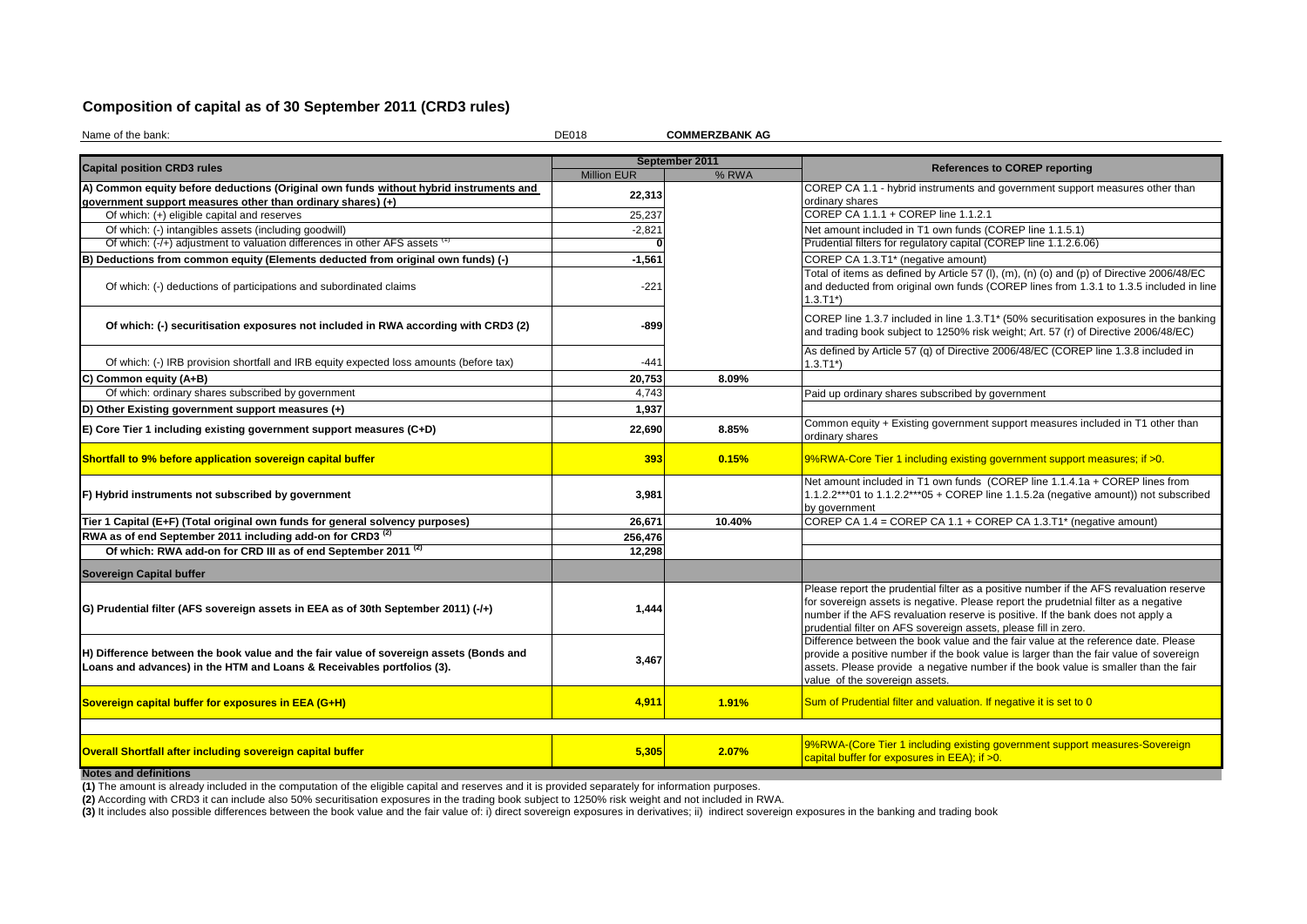## **Composition of capital as of 30 September 2011 (CRD3 rules)**

Name of the bank: DE018 **COMMERZBANK AG**

|                                                                                                                                                                  |                    | September 2011 |                                                                                                                                                                                                                                                                                                                                      |
|------------------------------------------------------------------------------------------------------------------------------------------------------------------|--------------------|----------------|--------------------------------------------------------------------------------------------------------------------------------------------------------------------------------------------------------------------------------------------------------------------------------------------------------------------------------------|
| <b>Capital position CRD3 rules</b>                                                                                                                               | <b>Million EUR</b> | % RWA          | <b>References to COREP reporting</b>                                                                                                                                                                                                                                                                                                 |
| A) Common equity before deductions (Original own funds without hybrid instruments and                                                                            | 22,313             |                | COREP CA 1.1 - hybrid instruments and government support measures other than                                                                                                                                                                                                                                                         |
| government support measures other than ordinary shares) (+)                                                                                                      |                    |                | ordinary shares                                                                                                                                                                                                                                                                                                                      |
| Of which: (+) eligible capital and reserves                                                                                                                      | 25,237             |                | COREP CA 1.1.1 + COREP line 1.1.2.1                                                                                                                                                                                                                                                                                                  |
| Of which: (-) intangibles assets (including goodwill)                                                                                                            | $-2,821$           |                | Net amount included in T1 own funds (COREP line 1.1.5.1)                                                                                                                                                                                                                                                                             |
| Of which: (-/+) adjustment to valuation differences in other AFS assets                                                                                          |                    |                | Prudential filters for regulatory capital (COREP line 1.1.2.6.06)                                                                                                                                                                                                                                                                    |
| B) Deductions from common equity (Elements deducted from original own funds) (-)                                                                                 | $-1,561$           |                | COREP CA 1.3.T1* (negative amount)                                                                                                                                                                                                                                                                                                   |
| Of which: (-) deductions of participations and subordinated claims                                                                                               | $-221$             |                | Total of items as defined by Article 57 (I), (m), (n) (o) and (p) of Directive 2006/48/EC<br>and deducted from original own funds (COREP lines from 1.3.1 to 1.3.5 included in line<br>$1.3.T1*)$                                                                                                                                    |
| Of which: (-) securitisation exposures not included in RWA according with CRD3 (2)                                                                               | -899               |                | COREP line 1.3.7 included in line 1.3.T1* (50% securitisation exposures in the banking<br>and trading book subject to 1250% risk weight; Art. 57 (r) of Directive 2006/48/EC)                                                                                                                                                        |
| Of which: (-) IRB provision shortfall and IRB equity expected loss amounts (before tax)                                                                          | $-441$             |                | As defined by Article 57 (q) of Directive 2006/48/EC (COREP line 1.3.8 included in<br>$1.3.T1*)$                                                                                                                                                                                                                                     |
| C) Common equity (A+B)                                                                                                                                           | 20,753             | 8.09%          |                                                                                                                                                                                                                                                                                                                                      |
| Of which: ordinary shares subscribed by government                                                                                                               | 4,743              |                | Paid up ordinary shares subscribed by government                                                                                                                                                                                                                                                                                     |
| D) Other Existing government support measures (+)                                                                                                                | 1.937              |                |                                                                                                                                                                                                                                                                                                                                      |
| E) Core Tier 1 including existing government support measures (C+D)                                                                                              | 22,690             | 8.85%          | Common equity + Existing government support measures included in T1 other than<br>ordinary shares                                                                                                                                                                                                                                    |
| Shortfall to 9% before application sovereign capital buffer                                                                                                      | 393                | 0.15%          | 9%RWA-Core Tier 1 including existing government support measures; if >0.                                                                                                                                                                                                                                                             |
| F) Hybrid instruments not subscribed by government                                                                                                               | 3,981              |                | Net amount included in T1 own funds (COREP line 1.1.4.1a + COREP lines from<br>1.1.2.2***01 to 1.1.2.2***05 + COREP line 1.1.5.2a (negative amount)) not subscribed<br>by government                                                                                                                                                 |
| Tier 1 Capital (E+F) (Total original own funds for general solvency purposes)                                                                                    | 26,671             | 10.40%         | COREP CA 1.4 = COREP CA 1.1 + COREP CA 1.3.T1* (negative amount)                                                                                                                                                                                                                                                                     |
| RWA as of end September 2011 including add-on for CRD3 <sup>(2)</sup>                                                                                            | 256,476            |                |                                                                                                                                                                                                                                                                                                                                      |
| Of which: RWA add-on for CRD III as of end September 2011 <sup>(2)</sup>                                                                                         | 12,298             |                |                                                                                                                                                                                                                                                                                                                                      |
| Sovereign Capital buffer                                                                                                                                         |                    |                |                                                                                                                                                                                                                                                                                                                                      |
| G) Prudential filter (AFS sovereign assets in EEA as of 30th September 2011) (-/+)                                                                               | 1,444              |                | Please report the prudential filter as a positive number if the AFS revaluation reserve<br>for sovereign assets is negative. Please report the prudetnial filter as a negative<br>number if the AFS revaluation reserve is positive. If the bank does not apply a<br>prudential filter on AFS sovereign assets, please fill in zero. |
| H) Difference between the book value and the fair value of sovereign assets (Bonds and<br>Loans and advances) in the HTM and Loans & Receivables portfolios (3). | 3,467              |                | Difference between the book value and the fair value at the reference date. Please<br>provide a positive number if the book value is larger than the fair value of sovereign<br>assets. Please provide a negative number if the book value is smaller than the fair<br>value of the sovereign assets.                                |
| Sovereign capital buffer for exposures in EEA (G+H)                                                                                                              | 4,911              | 1.91%          | Sum of Prudential filter and valuation. If negative it is set to 0                                                                                                                                                                                                                                                                   |
|                                                                                                                                                                  |                    |                |                                                                                                                                                                                                                                                                                                                                      |
| Overall Shortfall after including sovereign capital buffer                                                                                                       | 5,305              | 2.07%          | 9%RWA-(Core Tier 1 including existing government support measures-Sovereign<br>capital buffer for exposures in EEA); if >0.                                                                                                                                                                                                          |
|                                                                                                                                                                  |                    |                |                                                                                                                                                                                                                                                                                                                                      |

**Notes and definitions**

**(1)** The amount is already included in the computation of the eligible capital and reserves and it is provided separately for information purposes.

**(2)** According with CRD3 it can include also 50% securitisation exposures in the trading book subject to 1250% risk weight and not included in RWA.

(3) It includes also possible differences between the book value and the fair value of: i) direct sovereign exposures in derivatives; ii) indirect sovereign exposures in the banking and trading book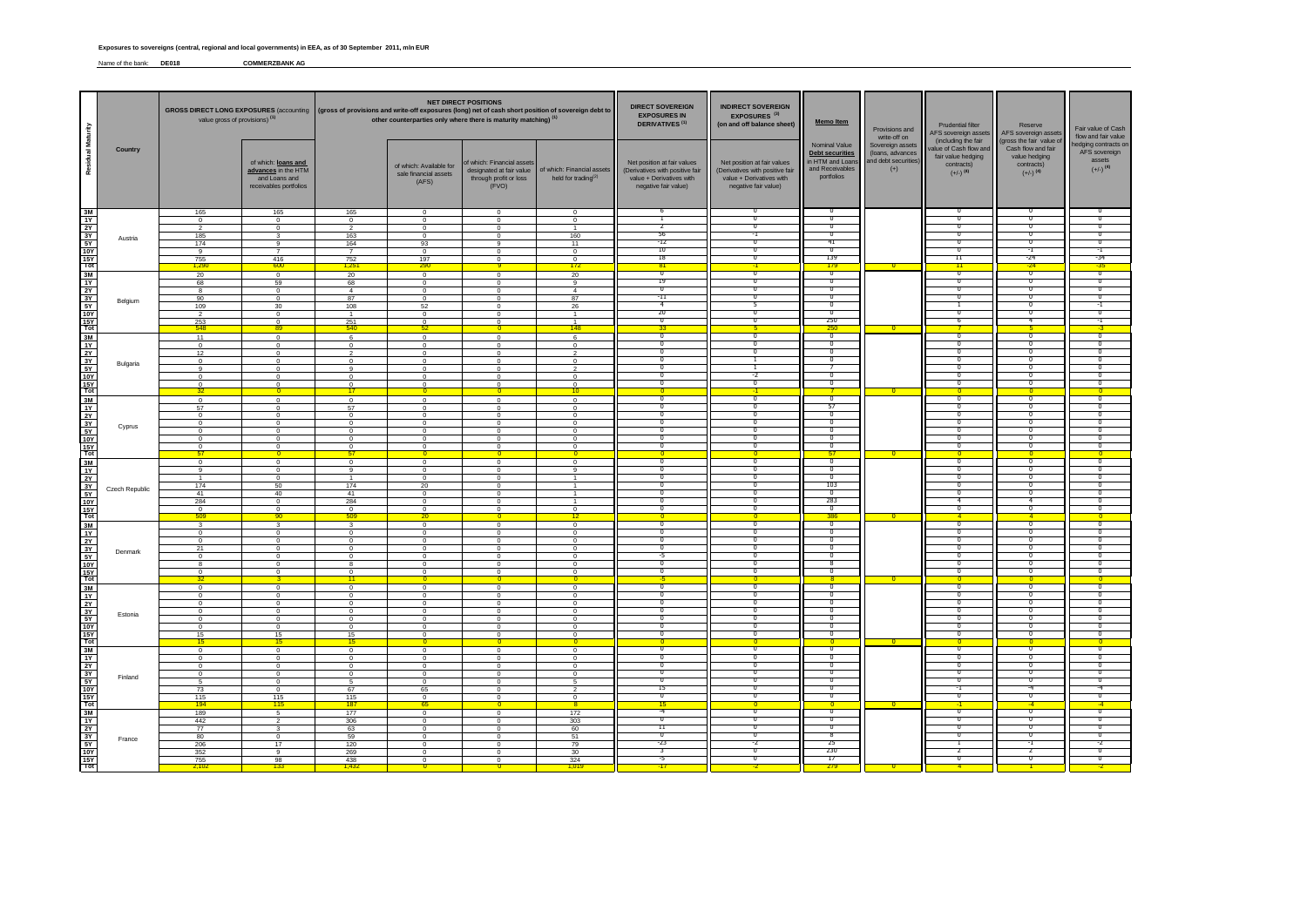Name of the bank: **DE018 COMMERZBANK AG**

|                                                                                                                           |                | value gross of provisions) (1)                                                                               |                                                                                                                 | <b>NET DIRECT POSITIONS</b><br>GROSS DIRECT LONG EXPOSURES (accounting   (gross of provisions and write-off exposures (long) net of cash short position of sovereign debt to<br>other counterparties only where there is maturity matching) <sup>(1)</sup> |                                                                                                             |                                                                                                             | <b>DIRECT SOVEREIGN</b><br><b>EXPOSURES IN</b><br><b>DERIVATIVES<sup>(1)</sup></b>                             | <b>INDIRECT SOVEREIGN</b><br>EXPOSURES <sup>(3)</sup><br>(on and off balance sheet)                                | <b>Memo Item</b>                                                                                                   | Provisions and<br>write-off on                                                                                                          | <b>Prudential filter</b><br>AFS sovereign asset                       | Reserve<br>AFS sovereign assets                                                                            | Fair value of Cash<br>flow and fair value                                                                     |                                                                                                                  |
|---------------------------------------------------------------------------------------------------------------------------|----------------|--------------------------------------------------------------------------------------------------------------|-----------------------------------------------------------------------------------------------------------------|------------------------------------------------------------------------------------------------------------------------------------------------------------------------------------------------------------------------------------------------------------|-------------------------------------------------------------------------------------------------------------|-------------------------------------------------------------------------------------------------------------|----------------------------------------------------------------------------------------------------------------|--------------------------------------------------------------------------------------------------------------------|--------------------------------------------------------------------------------------------------------------------|-----------------------------------------------------------------------------------------------------------------------------------------|-----------------------------------------------------------------------|------------------------------------------------------------------------------------------------------------|---------------------------------------------------------------------------------------------------------------|------------------------------------------------------------------------------------------------------------------|
| Residual Maturity                                                                                                         | Country        |                                                                                                              | of which: loans and<br>advances in the HTM<br>and Loans and<br>receivables portfolios                           |                                                                                                                                                                                                                                                            | of which: Available for<br>sale financial assets<br>(AFS)                                                   | of which: Financial assets<br>designated at fair value<br>through profit or loss<br>(FVO)                   | of which: Financial assets<br>held for trading <sup>(2)</sup>                                                  | Net position at fair values<br>(Derivatives with positive fair<br>value + Derivatives with<br>negative fair value) | Net position at fair values<br>(Derivatives with positive fair<br>value + Derivatives with<br>negative fair value) | Nominal Value<br><b>Debt securities</b><br>in HTM and Loans<br>and Receivables<br>portfolios                                            | Sovereign assets<br>(loans, advances<br>and debt securities)<br>$(+)$ | (including the fair<br>alue of Cash flow and<br>fair value hedging<br>contracts)<br>$(+/-)$ <sup>(4)</sup> | gross the fair value of<br>Cash flow and fair<br>value hedging<br>contracts)<br>$(+/-)$ <sup>(4)</sup>        | edging contracts or<br>AFS sovereign<br>assets<br>$(+/-)$ <sup>(4)</sup>                                         |
| $\frac{3M}{1Y}$<br>가 있습니다.<br>지역 이 지                                                                                      | Austria        | 165<br>$\overline{0}$<br>$\overline{2}$<br>185<br>174<br>9<br>755<br>1,290                                   | 165<br>$\Omega$<br>$\mathbf 0$<br>3<br>$\mathbf{Q}$<br>416<br>600                                               | 165<br>$^{\circ}$<br>$\overline{\phantom{a}}$<br>163<br>164<br>$\overline{7}$<br>$\frac{752}{1,251}$                                                                                                                                                       | $\mathbf 0$<br>$\Omega$<br>$\Omega$<br>$\overline{0}$<br>93<br>$^{\circ}$<br>197<br>290                     | $^{\circ}$<br>$\Omega$<br>$\Omega$<br>$^{\circ}$<br>$\alpha$<br>$\Omega$<br>$\Omega$                        | $\mathbf 0$<br>$^{\circ}$<br>$\overline{1}$<br>160<br>11<br>$^{\circ}$<br>$\mathbf{0}$<br>172                  | 6<br>∍<br>56<br>-12<br>-10<br>18<br>81                                                                             | $^{\circ}$<br>╖<br>$\overline{0}$<br>-1<br>╖<br>╖<br>᠊ᢐ<br>$-1$                                                    | 0<br>ი<br>$\overline{0}$<br>π<br>41<br>π<br>139<br>179                                                                                  | n.                                                                    | 0<br>n<br>$\overline{0}$<br>π<br>Ο<br>'n<br>$\overline{11}$<br>11                                          | ᠊᠐<br>$\overline{0}$<br>╖<br>᠊᠐<br>न<br>-24<br>$-24$                                                          | n<br>$\overline{0}$<br>π<br>Ο<br>-1<br>-34<br>$-35$                                                              |
| ┋ ≌≒≿⋨⋩<br>$\frac{15Y}{Tot}$                                                                                              | Belgium        | 20<br>68<br>-8<br>90<br>109<br>$\overline{2}$<br>253<br>548                                                  | $\overline{0}$<br>59<br>$\overline{0}$<br>$\circ$<br>30<br>$^{\circ}$<br>$^{\circ}$<br>89                       | $20 -$<br>68<br>$\overline{4}$<br>87<br>108<br>$\overline{1}$<br>251<br>540                                                                                                                                                                                | $\Omega$<br>$\mathbf{0}$<br>$\overline{0}$<br>$\Omega$<br>52<br>$\Omega$<br>$\Omega$<br>52                  | $\Omega$<br>$\Omega$<br>$\circ$<br>$\Omega$<br>$\Omega$<br>$\Omega$<br>$\Omega$<br>$\mathbf{0}$             | 20<br>$_{9}$<br>$\overline{4}$<br>87<br>26<br>$\overline{1}$<br>148                                            | ┱<br>19<br>70<br>$-11$<br>4<br>20<br>ം<br>33                                                                       | ╦<br>$\overline{0}$<br>╖<br>$\overline{0}$<br>$\overline{\mathfrak{o}}$<br>᠊ᢆ                                      | ⊽<br>$\overline{0}$<br>᠊᠐<br>$\overline{0}$<br>π<br>$\overline{0}$<br>250<br>250                                                        |                                                                       | ᠊╖<br>$\overline{0}$<br>π<br>$\overline{0}$<br>$\overline{0}$<br>-6                                        | -0<br>$\overline{0}$<br>᠊ᢆᠭ<br>$\overline{0}$<br>╖<br>$\overline{\mathfrak{o}}$<br>4                          | ᠊╖<br>$\overline{0}$<br>π<br>$\overline{0}$<br>$\overline{0}$<br>-1<br>$-3$                                      |
| $\frac{3M}{1Y}$<br>공부 있습니다.                                                                                               | Bulgaria       | 11<br>$\Omega$<br>12<br>$^{\circ}$<br>$\mathbf{q}$<br>$\Omega$<br>$\Omega$<br>32                             | $\overline{0}$<br>$\Omega$<br>$\mathbf 0$<br>$\Omega$<br>$\circ$<br>$\Omega$<br>$\Omega$<br>n                   | 6<br>$\Omega$<br>$\overline{2}$<br>$^{\circ}$<br>$\mathbf{q}$<br>$\circ$<br>$\frac{0}{17}$                                                                                                                                                                 | $\overline{0}$<br>$\Omega$<br>$\mathbf 0$<br>$^{\circ}$<br>$\Omega$<br>$\Omega$<br>$\mathbf{0}$<br>$\Omega$ | $\overline{0}$<br>$\Omega$<br>$\Omega$<br>$\Omega$<br>$\Omega$<br>$\Omega$<br>$\Omega$<br>$^{\circ}$        | 6<br>$\Omega$<br>$\overline{2}$<br>$^{\circ}$<br>$\mathfrak{D}$<br>$^{\circ}$<br>$\Omega$<br>$\frac{1}{10}$    | ᠊᠊ᢆ<br>70<br>$\overline{0}$<br>n<br>$\overline{\phantom{a}}$<br>╖<br>$\overline{0}$                                | ᠊ᢆ<br>᠊ᢐ<br>$\overline{0}$<br>T<br>$\overline{\cdot}$<br>$\overline{\mathfrak{o}}$<br>$-1$                         | ᠊᠊ᢆᢆ<br>О<br>$\overline{0}$<br>O<br>7<br>$^{\circ}$<br>$\overline{0}$                                                                   |                                                                       | ᠊᠊ᢆ<br>σ<br>$\overline{0}$<br>Π<br>$\overline{0}$<br>n<br>$\overline{0}$<br>n                              | $\overline{0}$<br>᠊ᠣ<br>$\overline{0}$<br>╖<br>$\overline{\mathfrak{o}}$<br>╖<br>$\overline{\mathbf{0}}$<br>n | ᠊᠊ᢆᢆ<br>σ<br>$\overline{0}$<br>n<br>$\overline{\mathfrak{o}}$<br>╖<br>$\overline{0}$<br>n                        |
| 3M<br>$\frac{11}{2}$ $\frac{21}{3}$ $\frac{31}{5}$ $\frac{51}{10}$<br>$\frac{15Y}{Tot}$                                   | Cyprus         | $\overline{0}$<br>57<br>$^{\circ}$<br>$\overline{0}$<br>$\overline{0}$<br>$\overline{0}$<br>$^{\circ}$<br>57 | $\circ$<br>$\overline{0}$<br>$\Omega$<br>$^{\circ}$<br>$\Omega$<br>$\Omega$<br>$\mathbf 0$<br>$\overline{0}$    | $\Omega$<br>57<br>$\Omega$<br>$\overline{0}$<br>$\circ$<br>$\overline{0}$<br>$^{\circ}$<br>57                                                                                                                                                              | $\Omega$<br>$\overline{0}$<br>$\Omega$<br>$\Omega$<br>$\Omega$<br>$\Omega$<br>$\overline{0}$                | $\Omega$<br>$\overline{0}$<br>$\Omega$<br>$\Omega$<br>$^{\circ}$<br>$\Omega$<br>$\mathbf{0}$                | $\overline{0}$<br>$\overline{0}$<br>$\Omega$<br>$^{\circ}$<br>$\circ$<br>$\Omega$<br>$\mathbf 0$<br>-01        | ╖<br>ᄀ<br>n<br>$\overline{\phantom{a}}$<br>ה-<br>$\overline{0}$<br>n<br>$\Omega$                                   | ᠊ᢆ<br>᠊ᢆ<br>╖<br>$\overline{\mathfrak{o}}$<br>╖<br>$\overline{\mathfrak{o}}$<br>᠊ᢆ<br>$\overline{0}$               | ᠊ᢐ<br>57<br>π<br>$\overline{\mathfrak{o}}$<br>$^{\circ}$<br>$\overline{0}$<br>$^{\circ}$<br>57                                          |                                                                       | ᠊ᢐ<br>╖<br>'n<br>$\overline{0}$<br>n<br>$\overline{0}$<br>$\mathbf{0}$<br>$\overline{0}$                   | ᠊ᢐ<br>᠊ᢅ᠓<br>╖<br>$\overline{\mathfrak{o}}$<br>╖<br>$\overline{\mathbf{0}}$<br>-0<br>$\Omega$                 | ╖<br>᠊ᢅᢆ<br>n<br>$\overline{\mathfrak{o}}$<br>╖<br>$\overline{0}$<br>n<br>$\overline{0}$                         |
| $\frac{3M}{1Y}$<br>공동 지역                                                                                                  | Czech Republic | $\overline{\phantom{0}}$<br>$\mathbf{q}$<br>$\overline{1}$<br>174<br>41<br>284<br>$^{\circ}$                 | $\overline{0}$<br>$\Omega$<br>$\circ$<br>50<br>40<br>$\mathbf 0$<br>$^{\circ}$                                  | $\overline{0}$<br>9<br>$\overline{1}$<br>174<br>41<br>284<br>$\Omega$                                                                                                                                                                                      | $\overline{0}$<br>$\Omega$<br>$\overline{0}$<br>20<br>$\mathbf{0}$<br>$\mathbf{0}$<br>$\Omega$              | $\overline{0}$<br>$\Omega$<br>$\Omega$<br>$\Omega$<br>$\Omega$<br>$\Omega$<br>$^{\circ}$                    | $\overline{0}$<br>$\mathbf{Q}$<br>$\overline{1}$<br>$\mathbf{1}$<br>$\overline{1}$<br>$\mathbf{1}$<br>$\Omega$ | -0<br>╖<br>$^{\circ}$<br>-0<br>╖<br>n<br>$\overline{0}$                                                            | ᠊᠊ᢆ<br>╖<br>᠊ᢐ<br>╖<br>τ<br>᠊ᢆ<br>$\overline{\mathfrak{o}}$                                                        | ᠊᠊ᢆᢆ<br>O<br>ი<br>103<br>70<br>283<br>$\overline{\mathfrak{o}}$                                                                         |                                                                       | ᠊᠇<br>n<br>Ο<br>$\overline{0}$<br>Ο<br>4<br>$\overline{0}$                                                 | ᠊᠊ᢆᢆ<br>╖<br>᠊ᠣ<br>╖<br>$^{\circ}$<br>-4<br>$\overline{\mathfrak{o}}$                                         | ᠊᠊ᢆᢆ<br>Ο<br>σ<br>$\overline{0}$<br>n<br>n<br>$\overline{0}$                                                     |
| $\frac{3M}{1Y}$<br>$\frac{3Y}{5Y}$<br>$\frac{15Y}{Tot}$                                                                   | Denmark        | 509<br>-3<br>$\circ$<br>$\Omega$<br>21<br>$\overline{0}$<br>$\mathbf{a}$<br>$\Omega$                         | 90 <sub>1</sub><br>$\mathbf{3}$<br>$\Omega$<br>$\Omega$<br>$^{\circ}$<br>$\mathbf 0$<br>$\Omega$<br>$\mathbf 0$ | 509<br>3<br>$\Omega$<br>$\Omega$<br>$\overline{0}$<br>$\circ$<br>$\mathbf{a}$<br>$\overline{0}$                                                                                                                                                            | 20<br>$^{\circ}$<br>$\Omega$<br>$\Omega$<br>$\Omega$<br>$\overline{0}$<br>$\Omega$<br>$\mathbf 0$           | $\overline{0}$<br>$\Omega$<br>$\Omega$<br>$\Omega$<br>$\circ$<br>$\circ$<br>$\Omega$<br>$\mathbf 0$         | 12<br>$^{\circ}$<br>$\Omega$<br>$\Omega$<br>$\circ$<br>$\circ$<br>$\Omega$<br>$\mathbf 0$                      | -0<br>$\overline{0}$<br>O<br>-5<br>n<br>π                                                                          | $\Omega$<br>᠊ᢆ<br>$\overline{0}$<br>᠊᠐<br>-0<br>╖<br>᠊ᢆ                                                            | 386<br>0<br>᠊ᢆᠭ<br>$\overline{0}$<br>σ<br>Ω<br>-8<br>᠊᠗                                                                                 |                                                                       | $\overline{A}$<br>$\overline{0}$<br>᠊ᢅ᠓<br>$\overline{0}$<br>0<br>n<br>Ō<br>70                             | $\overline{A}$<br>᠊ᢅ᠓<br>$\overline{0}$<br>$^{\circ}$<br>-0<br>0<br>᠊ᢅᢆ                                       | $\overline{\phantom{a}}$<br>O<br>$\overline{0}$<br>$\overline{0}$<br>σ<br>n<br>n.<br>᠊ᢆᢆ                         |
| $\frac{3M}{1Y}$<br>$\begin{array}{c}\n\frac{11}{2Y} \\ \frac{3Y}{10Y} \\ \frac{15Y}{10Y} \\ \frac{15Y}{10t}\n\end{array}$ | Estonia        | $\circ$<br>$\Omega$<br>$\overline{0}$<br>$\Omega$<br>$\Omega$<br>$\overline{0}$<br>15<br>15                  | $\circ$<br>$\Omega$<br>$\circ$<br>$\Omega$<br>$\Omega$<br>$\mathbf 0$<br>15<br>15                               | $\overline{11}$<br>$\overline{0}$<br>$\Omega$<br>$\overline{0}$<br>$\Omega$<br>$\overline{0}$<br>$\mathbf 0$<br>15<br>15                                                                                                                                   | $\Omega$<br>$\Omega$<br>$\Omega$<br>$\Omega$<br>$\Omega$<br>$\mathbf 0$<br>$\Omega$<br>$\overline{0}$       | $\Omega$<br>$\Omega$<br>$\overline{0}$<br>$\Omega$<br>$\Omega$<br>$\mathbf 0$<br>$\Omega$<br>$\overline{0}$ | $\mathbf{0}$<br>$\Omega$<br>$\circ$<br>$^{\circ}$<br>$\Omega$<br>$\circ$<br>$^{\circ}$<br>$\overline{0}$       | ᠊᠊ᢆᢆᢆ<br>$\overline{0}$<br>Ο<br>$\overline{0}$<br>T<br>-0<br>O<br>$\overline{\phantom{a}}$                         | ᠊ᢆ<br>$\overline{0}$<br>᠊ᢐ<br>$\overline{0}$<br>τ<br>᠊ᢆ<br>╖<br>$\overline{0}$                                     | 8<br>$^{\circ}$<br>$\overline{0}$<br>σ<br>$\overline{0}$<br>⊽<br>╖<br>O<br>$\overline{\phantom{a}}$                                     |                                                                       | ᠊᠊ᢆ<br>$\overline{0}$<br>0<br>$\overline{0}$<br>Ō<br>n.<br>Ο<br>$\overline{0}$                             | $\overline{0}$<br>$\overline{0}$<br>$^{\circ}$<br>$\overline{0}$<br>0<br>᠊ᢅ᠓<br>ი<br>$\overline{\phantom{a}}$ | $\overline{\mathfrak{o}}$<br>$\overline{0}$<br>σ<br>$\overline{0}$<br>n.<br>᠊ᢆᢆ<br>Ο<br>$\overline{\phantom{a}}$ |
| $\frac{3M}{1Y}$ $\frac{2Y}{3Y}$<br>$rac{5Y}{10Y}$<br>$rac{15Y}{10t}$                                                      | Finland        | $\overline{0}$<br>$\mathbf 0$<br>$\Omega$<br>$\overline{0}$<br>5<br>73<br>115<br>194                         | $\overline{0}$<br>$\mathbf 0$<br>$\Omega$<br>$^{\circ}$<br>$\mathbf 0$<br>$\Omega$<br>115<br>115                | $\overline{0}$<br>$\mathbf{0}$<br>$\Omega$<br>$\overline{0}$<br>5<br>67<br>115<br>187                                                                                                                                                                      | $\Omega$<br>$\overline{0}$<br>$\Omega$<br>$\Omega$<br>$\mathbf 0$<br>65<br>$\Omega$<br>65                   | $\Omega$<br>$\mathbf 0$<br>$\Omega$<br>$\Omega$<br>$\mathbf 0$<br>$\Omega$<br>$\Omega$<br>$\mathbf{0}$      | $\overline{0}$<br>$\mathbf{0}$<br>$\Omega$<br>$\Omega$<br>5<br>$\mathcal{P}$<br>$\mathbf 0$                    | $\overline{\mathfrak{o}}$<br>$^{\circ}$<br>$\overline{0}$<br>T<br>$\overline{0}$<br>15<br>$\overline{0}$<br>15     | $\overline{\mathfrak{o}}$<br>᠊ᢐ<br>$\overline{0}$<br>᠊ᢐ<br>$\overline{0}$<br>᠊᠐<br>$\overline{0}$                  | $\overline{\mathfrak{o}}$<br>᠊᠐<br>$\overline{0}$<br>$\overline{0}$<br>$\overline{0}$<br>О<br>$\overline{0}$<br>$\overline{\mathbf{0}}$ |                                                                       | $\overline{\mathfrak{o}}$<br>0<br>$\overline{0}$<br>Ō<br>$\overline{0}$<br>-1<br>$\overline{0}$            | $\overline{0}$<br>$^{\circ}$<br>$\overline{0}$<br>0<br>$\overline{0}$<br>-4<br>$\overline{0}$                 | $\overline{\mathfrak{o}}$<br>σ<br>$\overline{0}$<br>σ<br>$\overline{0}$<br>$-4$<br>$\overline{0}$<br>$-4$        |
| 3M<br>$\frac{1Y}{2Y}$<br>$\frac{3Y}{5Y}$ $\frac{10Y}{15Y}$                                                                | France         | 189<br>442<br>77<br>80<br>206<br>352<br>755                                                                  | $5\overline{5}$<br>$\overline{\phantom{a}}$<br>$\mathbf{3}$<br>$\mathbf 0$<br>17<br>$\overline{9}$<br>98<br>133 | 177<br>306<br>63<br>59<br>120<br>269<br>438                                                                                                                                                                                                                | $\circ$<br>$\Omega$<br>$\mathbf 0$<br>$\overline{0}$<br>$\Omega$<br>$\Omega$<br>$\Omega$                    | $\circ$<br>$\Omega$<br>$\circ$<br>$\mathbf 0$<br>$\Omega$<br>$\Omega$<br>$\Omega$                           | 172<br>303<br>60<br>51<br>79<br>30<br>324                                                                      | $-4$<br>- 0<br>11<br>$\overline{0}$<br>-23<br>२<br>-5                                                              | ᠊ᢐ<br>╖<br>τ<br>$\overline{0}$<br>-2<br>$\overline{0}$<br>τ                                                        | ᠊ᢐ<br>O<br>⊽<br>$\overline{\mathbf{g}}$<br>-25<br>230<br>17<br>279                                                                      |                                                                       | $\overline{\sigma}$<br>n<br>Ō<br>$\overline{0}$<br>7<br>Ō                                                  | ᠊ᢐ<br>٦0<br>0<br>$\overline{0}$<br>-1<br>$\overline{\phantom{a}}$<br>╖                                        | $\overline{\sigma}$<br>70<br>σ<br>$\overline{0}$<br>-2<br>$\overline{0}$<br>σ                                    |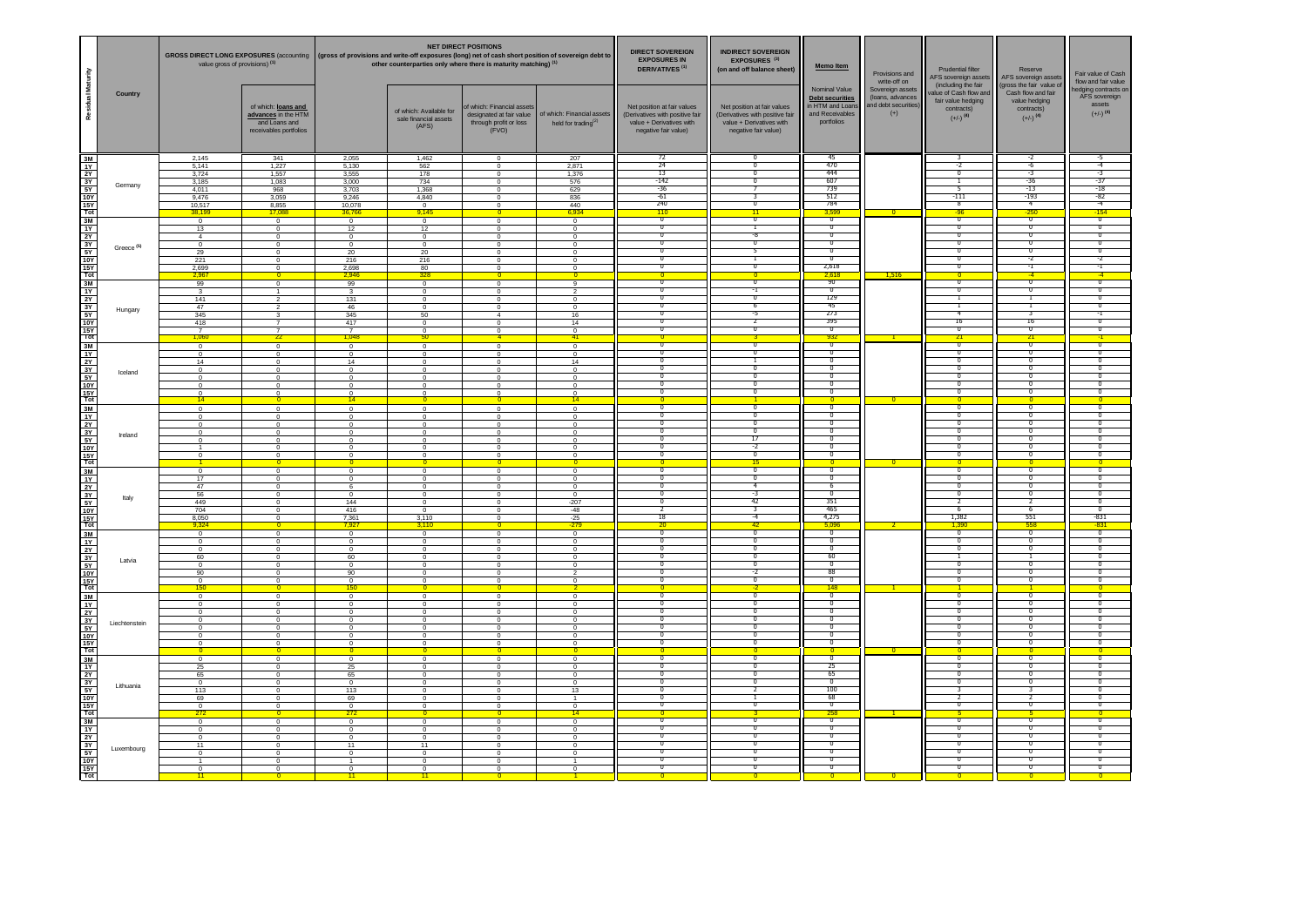|                                                                                                                  |                       | value gross of provisions) <sup>(1)</sup>                                                                 |                                                                                                                                      | <b>NET DIRECT POSITIONS</b><br>GROSS DIRECT LONG EXPOSURES (accounting   (gross of provisions and write-off exposures (long) net of cash short position of sovereign debt to<br>other counterparties only where there is maturity matching) <sup>(1)</sup> |                                                                                                                  |                                                                                                                    | <b>DIRECT SOVEREIGN</b><br><b>EXPOSURES IN</b><br><b>DERIVATIVES (1)</b>                                           | <b>INDIRECT SOVEREIGN</b><br>EXPOSURES <sup>(3)</sup><br>(on and off balance sheet)                                | <b>Memo Item</b>                                                                                                   | Provisions and<br>write-off on                                                                              | Prudential filter<br>AFS sovereign asset                             | Reserve<br>AFS sovereign assets                                                                            | Fair value of Cash<br>flow and fair value                                                               |                                                                                                      |
|------------------------------------------------------------------------------------------------------------------|-----------------------|-----------------------------------------------------------------------------------------------------------|--------------------------------------------------------------------------------------------------------------------------------------|------------------------------------------------------------------------------------------------------------------------------------------------------------------------------------------------------------------------------------------------------------|------------------------------------------------------------------------------------------------------------------|--------------------------------------------------------------------------------------------------------------------|--------------------------------------------------------------------------------------------------------------------|--------------------------------------------------------------------------------------------------------------------|--------------------------------------------------------------------------------------------------------------------|-------------------------------------------------------------------------------------------------------------|----------------------------------------------------------------------|------------------------------------------------------------------------------------------------------------|---------------------------------------------------------------------------------------------------------|------------------------------------------------------------------------------------------------------|
| Residual Maturity                                                                                                | Country               |                                                                                                           | of which: loans and<br>advances in the HTM<br>and Loans and<br>receivables portfolios                                                |                                                                                                                                                                                                                                                            | of which: Available for<br>sale financial assets<br>(AFS)                                                        | f which: Financial assets<br>designated at fair value<br>through profit or loss<br>(FVO)                           | of which: Financial assets<br>held for trading $(2)$                                                               | Net position at fair values<br>(Derivatives with positive fair<br>value + Derivatives with<br>negative fair value) | Net position at fair values<br>(Derivatives with positive fair<br>value + Derivatives with<br>negative fair value) | Nominal Value<br><b>Debt securities</b><br>in HTM and Loans<br>and Receivables<br>portfolios                | Sovereign assets<br>(loans, advances<br>and debt securities<br>$(+)$ | (including the fair<br>alue of Cash flow and<br>fair value hedging<br>contracts)<br>$(+/-)$ <sup>(4)</sup> | (gross the fair value of<br>Cash flow and fair<br>value hedging<br>contracts)<br>$(+/-)$ <sup>(4)</sup> | edging contracts or<br>AFS sovereign<br>assets<br>$(+/-)$ <sup>(4)</sup>                             |
|                                                                                                                  | Germany               | 2,145<br>5.141<br>3.724<br>3,185<br>4.011<br>9,476<br>10,517<br>38.19                                     | 341<br>1,227<br>1,557<br>1,083<br>968<br>3,059<br>8,855<br>17.08                                                                     | 2,055<br>5,130<br>3,555<br>3,000<br>3,703<br>9,246<br>10,078                                                                                                                                                                                               | 1,462<br>562<br>178<br>734<br>1,368<br>4,840<br>$\mathbf 0$<br>9,145                                             | $\Omega$<br>$^{\circ}$<br>$\Omega$<br>$\mathbf 0$<br>$\overline{0}$<br>$\mathbf 0$<br>$^{\circ}$                   | 207<br>2,871<br>1,376<br>576<br>629<br>836<br>440<br>6,934                                                         | $\overline{72}$<br>24<br>13<br>$-142$<br>$-36$<br>$-61$<br><b>740</b><br>110                                       | ╖<br>n<br>σ<br>3<br>$\overline{ }$<br>11                                                                           | 45<br>470<br>444<br>607<br>739<br>512<br>784<br>3.59                                                        |                                                                      | $-2$<br>Ō<br>-5<br>-111<br>$\overline{\mathbf{R}}$<br>$-96$                                                | $-6$<br>-3<br>$-36$<br>$-13$<br>$-193$<br>$\overline{4}$<br>$-250$                                      | $-4$<br>-3<br>-37<br>$-18$<br>$-82$<br>$-4$<br>$-154$                                                |
|                                                                                                                  | Greece <sup>(5)</sup> | $\overline{0}$<br>13<br>$\overline{A}$<br>$\overline{0}$<br>29<br>221<br>2,699                            | $\overline{0}$<br>$\Omega$<br>$\overline{0}$<br>$\overline{0}$<br>$\,0\,$<br>$\overline{\phantom{0}}$<br>$\overline{0}$              | 36,76<br>$\overline{0}$<br>12<br>$\overline{0}$<br>$\overline{0}$<br>20<br>216<br>2,698                                                                                                                                                                    | $\overline{0}$<br>12<br>$\mathbf{0}$<br>$\overline{0}$<br>20<br>216<br>$rac{80}{328}$                            | $\Omega$<br>$\Omega$<br>$\Omega$<br>$\overline{0}$<br>$\mathbf 0$<br>$^{\circ}$<br>$^{\circ}$                      | $\overline{0}$<br>$^{\circ}$<br>$\mathbf{0}$<br>$\overline{0}$<br>$\mathbf 0$<br>$\overline{0}$<br>$^{\circ}$      | $\overline{\mathfrak{o}}$<br>σ<br>$\overline{0}$<br>0<br>O<br>╖.                                                   | $\overline{0}$<br>-8<br>$^{\circ}$<br>5<br>т<br>n                                                                  | $\overline{\mathfrak{o}}$<br>$\overline{0}$<br>$\overline{0}$<br>᠊ᡉ<br>$\overline{0}$<br>╖<br>2,618<br>2.61 | 1,516                                                                | $\overline{\mathfrak{o}}$<br>Ō<br>$\overline{0}$<br>$^{\circ}$<br>σ<br>╖<br>╖                              | $\overline{0}$<br>70<br>$\overline{\mathbf{0}}$<br>$^{\circ}$<br>$^{\circ}$<br>-2<br>-1                 | $\overline{\mathfrak{o}}$<br>Ō<br>$\overline{0}$<br>$^{\circ}$<br>᠊ᡉ<br>-2<br>न                      |
|                                                                                                                  | Hungary               | 99<br>$\mathbf{3}$<br>141<br>47<br>345<br>418<br>$\overline{7}$<br>1,060                                  | $\overline{0}$<br>$\overline{1}$<br>$\overline{2}$<br>3<br>$\overline{7}$<br>22                                                      | 99<br>$\mathcal{R}$<br>131<br>46<br>345<br>417<br>$\frac{7}{1,048}$                                                                                                                                                                                        | $\overline{0}$<br>$\mathbf{0}$<br>$\overline{0}$<br>$\mathbf 0$<br>50<br>$^{\circ}$<br>$^{\circ}$<br>50          | $\circ$<br>$\Omega$<br>$\overline{0}$<br>$\mathbf 0$<br>$\overline{4}$<br>$^{\circ}$<br>$\Omega$<br>$\overline{4}$ | -9<br>$\mathcal{P}$<br>$\overline{0}$<br>$\mathbf 0$<br>16<br>14<br>$\frac{0}{41}$                                 | $\overline{\mathfrak{o}}$<br>$\Omega$<br>╖<br>σ                                                                    | $\overline{1}$<br>σ<br>6<br>-5<br>σ                                                                                | 90<br>$\overline{\mathfrak{o}}$<br>129<br>45<br>273<br>395<br>σ<br>932                                      |                                                                      | ᢦ<br>$\overline{0}$<br>┑<br>T<br>-4<br>16<br>$\overline{0}$<br>21                                          | $\overline{\mathfrak{o}}$<br>-1<br>হ<br>16<br>᠊ᡉ<br>21                                                  | ᠊ᢐ<br>$\overline{0}$<br>᠊᠐<br>$\overline{0}$<br>-1<br>$\overline{0}$<br>⊽<br>$-1$                    |
|                                                                                                                  | Iceland               | $\Omega$<br>$\mathbf 0$<br>14<br>$\overline{0}$<br>$^{\circ}$<br>$\Omega$<br>$\Omega$<br>14               | $\Omega$<br>$\circ$<br>$\overline{0}$<br>$\overline{0}$<br>$^{\circ}$<br>$\Omega$<br>$\overline{0}$<br>$\overline{0}$                | $\Omega$<br>$\mathbf 0$<br>14<br>$\mathbf 0$<br>$^{\circ}$<br>$^{\circ}$<br>$\frac{0}{14}$                                                                                                                                                                 | $\Omega$<br>$\mathbf 0$<br>$\circ$<br>$\overline{0}$<br>$^{\circ}$<br>$\Omega$<br>$\Omega$                       | $\Omega$<br>$\mathbf 0$<br>$^{\circ}$<br>$^{\circ}$<br>$^{\circ}$<br>$\Omega$<br>$\Omega$                          | $\overline{0}$<br>$\mathbf 0$<br>14<br>$\overline{0}$<br>$\circ$<br>$\Omega$<br>$\Omega$<br>$\overline{14}$        | $\Omega$<br>π<br>n<br>╖<br>σ<br>$\overline{0}$                                                                     | $^{\circ}$<br>σ<br>╖<br>$\overline{0}$<br>σ<br>$\overline{0}$                                                      | ᠊ᢐ<br>$\overline{0}$<br>᠊᠐<br>⊽<br>$\overline{0}$<br>⊽<br>$\overline{0}$<br>$\overline{0}$                  |                                                                      | $\overline{\mathfrak{o}}$<br>σ<br>╖<br>╖<br>$\overline{0}$<br>σ<br>Ō                                       | $\mathbf{0}$<br>᠊ᠣ<br>ᅮ<br>╖<br>$\overline{0}$<br>ᅮ<br>$\overline{0}$                                   | ᠊ᢐ<br>⊽<br>╖<br>╖<br>$\overline{0}$<br>⊽<br>$\overline{0}$                                           |
|                                                                                                                  | Ireland               | $\overline{0}$<br>$^{\circ}$<br>$^{\circ}$<br>$\Omega$<br>$\overline{1}$<br>$\Omega$                      | $\overline{0}$<br>$\overline{0}$<br>$\circ$<br>$^{\circ}$<br>$\Omega$<br>$\Omega$<br>$\circ$                                         | $\overline{0}$<br>$\overline{0}$<br>$^{\circ}$<br>$^{\circ}$<br>$\Omega$<br>$\Omega$<br>$\Omega$                                                                                                                                                           | $\overline{0}$<br>$^{\circ}$<br>$\mathbf{0}$<br>$^{\circ}$<br>$\Omega$<br>$\Omega$<br>$\Omega$                   | $\Omega$<br>$\overline{0}$<br>$^{\circ}$<br>$^{\circ}$<br>$\Omega$<br>$\Omega$<br>$\Omega$                         | $\overline{0}$<br>$\overline{0}$<br>$^{\circ}$<br>$^{\circ}$<br>$\Omega$<br>$\Omega$<br>$^{\circ}$                 | $\Omega$<br>᠊ᢐ<br>᠊ᢅ<br>n<br>$\Omega$                                                                              | ᠊ᢐ<br>π.<br>n<br>╖<br>17<br>-2<br>$\overline{0}$                                                                   | ᠊ᢐ<br>᠊ᢅ᠓<br>ი<br>Ō<br>σ<br>$\overline{0}$<br>$\overline{\mathfrak{o}}$                                     |                                                                      | $\mathbf{0}$<br>$\overline{\mathfrak{o}}$<br>-0<br>╖<br>70<br>Ō<br>ō<br>$\overline{0}$                     | $\overline{0}$<br>$^{\circ}$<br>ᅮ<br>╖<br>70<br>╖<br>$\overline{0}$<br>╖                                | ᠊ᢐ<br>᠊ᢆᠭ<br>╖<br>Ō<br>⊽<br>$\overline{0}$<br>$\overline{0}$                                         |
|                                                                                                                  | Italy                 | $\overline{0}$<br>17<br>47<br>56<br>449<br>704<br>8,050                                                   | $\overline{0}$<br>$\overline{0}$<br>$\overline{0}$<br>$^{\circ}$<br>$\Omega$<br>$\overline{0}$<br>$\mathbf 0$<br>$\,0\,$             | $\overline{0}$<br>$\overline{0}$<br>$\overline{0}$<br>6<br>$\Omega$<br>144<br>416<br>7,361                                                                                                                                                                 | $\overline{0}$<br>$\mathbf{0}$<br>$^{\circ}$<br>$\Omega$<br>$\mathbf{0}$<br>$\circ$<br>3,110                     | $\Omega$<br>$\overline{0}$<br>$\overline{0}$<br>$^{\circ}$<br>$\Omega$<br>$\Omega$<br>$\circ$<br>$\mathbf 0$       | $\overline{0}$<br>$\overline{0}$<br>$\overline{0}$<br>$^{\circ}$<br>$\Omega$<br>$-207$<br>$-48$<br>$-25$<br>$-279$ | ╖<br>$\overline{0}$<br>$\Omega$<br>-2<br>18                                                                        | 15<br>╖<br>$\overline{0}$<br>4<br>-3<br>42<br>3<br>$-4$                                                            | $\overline{0}$<br>᠊ᢐ<br>$\overline{\mathbf{0}}$<br>-6<br>Ō<br>351<br>465<br>4,275                           | $\overline{\mathsf{n}}$                                              | $\overline{0}$<br>᠊᠊ᢆᢆᢆ<br>$\overline{\phantom{a}}$<br>70<br>Ō<br>-2<br>-6<br>1,382                        | $\overline{0}$<br>᠊᠊ᢆᢆᢆ<br>$\overline{0}$<br>╖<br>᠊<br>- 6<br>551                                       | $\overline{0}$<br>᠊᠊ᢆᢆ<br>$\overline{0}$<br>╖<br>⊽<br>ი<br>⊽<br>$-831$                               |
|                                                                                                                  | Latvia                | 9,324<br>$\overline{0}$<br>$^{\circ}$<br>$\Omega$<br>60<br>$^{\circ}$<br>90<br>$^{\circ}$                 | $\overline{\mathbf{0}}$<br>$\overline{0}$<br>$^{\circ}$<br>$\Omega$<br>$\overline{0}$<br>$\mathbf 0$<br>$\overline{0}$<br>$^{\circ}$ | 7.92<br>$\overline{0}$<br>$^{\circ}$<br>$\Omega$<br>60<br>$^{\circ}$<br>90                                                                                                                                                                                 | 3,110<br>$\overline{0}$<br>$^{\circ}$<br>$\Omega$<br>$\mathbf{0}$<br>$\mathsf 0$<br>$\overline{0}$<br>$^{\circ}$ | $\mathbf 0$<br>$^{\circ}$<br>$\Omega$<br>$\Omega$<br>$\mathbf 0$<br>$\overline{0}$<br>$^{\circ}$                   | $\overline{0}$<br>$^{\circ}$<br>$\Omega$<br>$^{\circ}$<br>$\mathbf 0$<br>$\overline{2}$<br>$^{\circ}$              | $\overline{\mathfrak{o}}$<br>$\overline{0}$<br>$\Omega$<br>᠊ᢅ                                                      | 42<br>$\overline{\mathfrak{o}}$<br>70<br>$\overline{\mathbf{0}}$<br>╖<br>O<br>-7<br>╖                              | 5,09<br>$\overline{\phantom{a}}$<br>Ō<br>$\overline{\mathbf{0}}$<br>60<br>$^{\circ}$<br>88<br>╖             |                                                                      | 1,390<br>$\overline{\phantom{a}}$<br>70<br>$\overline{0}$<br>0<br>╖<br>70                                  | 558<br>$\overline{\phantom{a}}$<br>╖<br>$\overline{\mathbf{0}}$<br>0<br>ᅮ<br>╖                          | $-831$<br>$\overline{\mathfrak{o}}$<br>70<br>$\overline{\mathbf{0}}$<br>70<br>$^{\circ}$<br>᠊ᢅᢆ<br>╖ |
|                                                                                                                  | Liechtenstein         | 150<br>$\overline{0}$<br>$\Omega$<br>$\Omega$<br>$^{\circ}$<br>$\overline{0}$<br>$^{\circ}$<br>$^{\circ}$ | $\overline{0}$<br>$\Omega$<br>$\Omega$<br>$\mathbf 0$<br>$\overline{0}$<br>$\circ$<br>$^{\circ}$                                     | $\frac{0}{150}$<br>$\overline{0}$<br>$\Omega$<br>$\Omega$<br>$^{\circ}$<br>$\overline{0}$<br>$\Omega$<br>$^{\circ}$                                                                                                                                        | $\overline{0}$<br>$\mathbf{0}$<br>$\Omega$<br>$\mathbf 0$<br>$\overline{0}$<br>$\mathbf{0}$<br>$^{\circ}$        | $\overline{0}$<br>$\Omega$<br>$\Omega$<br>$^{\circ}$<br>$\overline{0}$<br>$\Omega$<br>$^{\circ}$                   | $\overline{0}$<br>$\Omega$<br>$\Omega$<br>$\mathbf 0$<br>$\overline{0}$<br>$\Omega$<br>$\circ$                     | $\overline{0}$<br>$\Omega$<br>n<br>n                                                                               | $\overline{0}$<br>╖<br>$\overline{0}$<br>π<br>╖<br>n                                                               | 148<br>$\overline{\mathfrak{o}}$<br>$\overline{\mathbf{0}}$<br>ი<br>$\overline{0}$<br>ᢦ<br>╖<br>Ō           |                                                                      | $\overline{0}$<br>70<br>$\overline{0}$<br>-0<br>70<br>70                                                   | $\overline{0}$<br>n<br>$\overline{0}$<br>ᅮ<br>n<br>╖                                                    | ╖<br>$\overline{0}$<br>ი<br>$\overline{0}$<br>╖<br>╖<br>70                                           |
|                                                                                                                  | <b>Lithuania</b>      | $\circ$<br>25<br>65<br>$\overline{0}$<br>113<br>69<br>$^{\circ}$                                          | $\circ$<br>$\overline{0}$<br>$\,0\,$<br>$\overline{0}$<br>$\overline{0}$<br>$\circ$<br>$\overline{0}$<br>$\overline{0}$              | $\mathbf{0}$<br>$^{\circ}$<br>$25\,$<br>65<br>$\overline{0}$<br>113<br>69<br>$\circ$                                                                                                                                                                       | $\circ$<br>$\mathbf 0$<br>$\mathbf 0$<br>$\overline{0}$<br>$\mathbf{0}$<br>$\circ$<br>$\circ$                    | $^{\circ}$<br>$\mathbf 0$<br>$\Omega$<br>$^{\circ}$<br>$^{\circ}$<br>$^{\circ}$<br>$\Omega$                        | $\mathbf 0$<br>$\mathbf 0$<br>$\mathbf 0$<br>$\overline{0}$<br>13<br>$\overline{1}$<br>$\Omega$                    | $\Omega$<br>n<br>π<br>$\overline{0}$<br>Ο                                                                          | ╖<br>Ο<br>n<br>π<br>$\overline{\phantom{a}}$<br>Ō                                                                  | $\overline{0}$<br>$\overline{0}$<br>-25<br>65<br>᠊ᢅ᠓<br>100<br>68<br>$\overline{\mathbf{0}}$                |                                                                      | ╖<br>O<br>-0<br>-0<br>3<br>2<br>$\overline{0}$                                                             | 0<br>-0<br>ᅮ<br>र<br>$\overline{0}$                                                                     | ╖<br>ი<br>╖<br>᠊ᢆᠭ<br>$\overline{0}$<br>⊽<br>$\overline{0}$                                          |
| 회장은 여러 남의 회장 이 대학 이 대학 이 대학 이 사장이 있다. 이 대학 이 시간에 있는 것이 있다. 이 대학 이 대학 이 시간에 대학 이 시간에 대학 이 기대 이 이 시간에 대학 이 시간이 있다. | Luxembourg            | $\mathbf 0$<br>$^{\circ}$<br>$\circ$<br>11<br>$\Omega$<br>$\overline{1}$<br>$\Omega$                      | o<br>$\mathbf 0$<br>$\overline{0}$<br>$^{\circ}$<br>$^{\circ}$<br>$\Omega$<br>$\Omega$<br>$\Omega$                                   | 272<br>$\mathbf 0$<br>$^{\circ}$<br>$^{\circ}$<br>$\overline{11}$<br>$\Omega$<br>$\overline{1}$<br>$\Omega$                                                                                                                                                | $\mathbf 0$<br>$^{\circ}$<br>$\mathbf{0}$<br>11<br>$\Omega$<br>$\mathbf{0}$<br>$\Omega$                          | $\mathbf 0$<br>$\mathbf 0$<br>$^{\circ}$<br>$^{\circ}$<br>$\Omega$<br>$\Omega$<br>$\Omega$                         | 14<br>$\mathbf 0$<br>$\mathbf 0$<br>$\mathbf 0$<br>$^{\circ}$<br>$\Omega$<br>$\Omega$                              | $\Omega$<br>π<br>Ο<br>$\overline{0}$                                                                               | n<br>π<br>π.<br>70<br>σ<br>$\overline{0}$<br>π.                                                                    | 258<br>᠊ᢐ<br>᠊ᢅ᠓<br>᠊ᢅ᠓<br>Ō<br>σ<br>$\overline{\mathfrak{o}}$<br>$\sigma$                                  |                                                                      | ╖<br>-0<br>╖<br>70<br>Ō<br>$\overline{\mathbf{0}}$<br>╖                                                    | ᠊ᢆ᠗<br>-0<br>ᅮ<br>70<br>σ<br>$\overline{\mathfrak{o}}$<br>n                                             | ᠊╖<br>╖<br>╖<br>70<br>⊽<br>$\overline{0}$                                                            |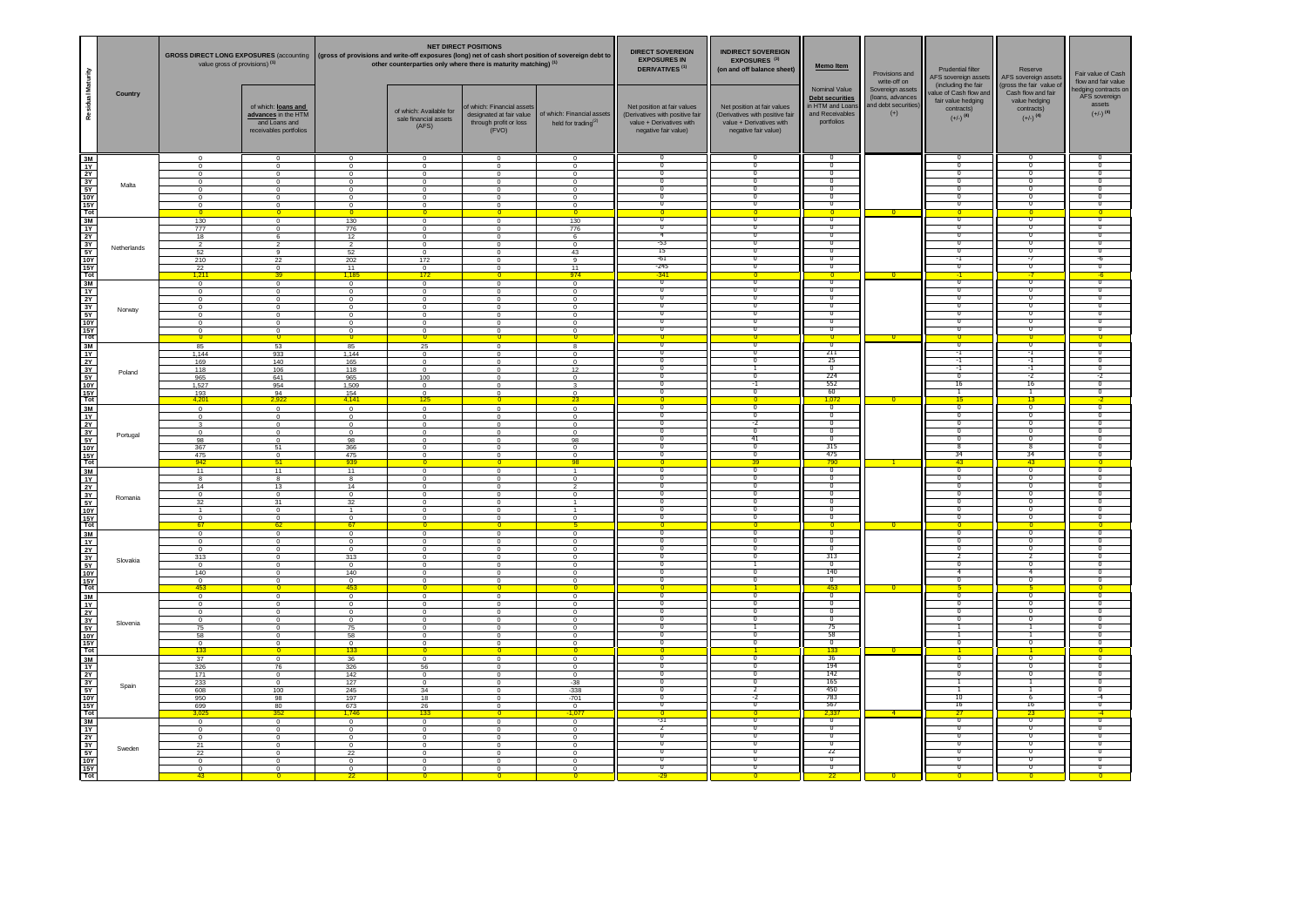|                                                                                                                  |             | value gross of provisions) <sup>(1)</sup>                                                         |                                                                                                                                   | <b>NET DIRECT POSITIONS</b><br>GROSS DIRECT LONG EXPOSURES (accounting   (gross of provisions and write-off exposures (long) net of cash short position of sovereign debt to<br>other counterparties only where there is maturity matching) <sup>(1)</sup> |                                                                                                           |                                                                                                                   | <b>DIRECT SOVEREIGN</b><br><b>EXPOSURES IN</b><br><b>DERIVATIVES<sup>(1)</sup></b>                                       | <b>INDIRECT SOVEREIGN</b><br>EXPOSURES <sup>(3)</sup><br>(on and off balance sheet)                                  | Memo Item                                                                                                          | Provisions and<br>write-off on                                                                            | Prudential filter<br>AFS sovereign assets<br>(including the fair     | Reserve<br>AFS sovereign assets<br>gross the fair value of                             | Fair value of Cash<br>flow and fair value                                                       |                                                                                                                               |
|------------------------------------------------------------------------------------------------------------------|-------------|---------------------------------------------------------------------------------------------------|-----------------------------------------------------------------------------------------------------------------------------------|------------------------------------------------------------------------------------------------------------------------------------------------------------------------------------------------------------------------------------------------------------|-----------------------------------------------------------------------------------------------------------|-------------------------------------------------------------------------------------------------------------------|--------------------------------------------------------------------------------------------------------------------------|----------------------------------------------------------------------------------------------------------------------|--------------------------------------------------------------------------------------------------------------------|-----------------------------------------------------------------------------------------------------------|----------------------------------------------------------------------|----------------------------------------------------------------------------------------|-------------------------------------------------------------------------------------------------|-------------------------------------------------------------------------------------------------------------------------------|
| Residual Maturity                                                                                                | Country     |                                                                                                   | of which: loans and<br>advances in the HTM<br>and Loans and<br>receivables portfolios                                             |                                                                                                                                                                                                                                                            | of which: Available for<br>sale financial assets<br>(AFS)                                                 | f which: Financial asset<br>designated at fair value<br>through profit or loss<br>(FVO)                           | of which: Financial assets<br>held for trading $(2)$                                                                     | Net position at fair values<br>(Derivatives with positive fair<br>value + Derivatives with<br>negative fair value)   | Net position at fair values<br>(Derivatives with positive fair<br>value + Derivatives with<br>negative fair value) | Nominal Value<br><b>Debt securities</b><br>in HTM and Loans<br>and Receivables<br>portfolios              | Sovereign assets<br>(loans, advances<br>and debt securities<br>$(+)$ | alue of Cash flow and<br>fair value hedging<br>contracts)<br>$(+/-)$ <sup>(4)</sup>    | Cash flow and fair<br>value hedging<br>contracts)<br>$(+/-)$ <sup>(4)</sup>                     | edging contracts on<br>AFS sovereign<br>assets<br>$(+/-)$ <sup>(4)</sup>                                                      |
|                                                                                                                  | Malta       | $\Omega$<br>$\Omega$<br>$\Omega$<br>$^{\circ}$<br>$\overline{0}$<br>$\mathbf 0$<br>$^{\circ}$     | $\mathbf 0$<br>$\Omega$<br>$\Omega$<br>$\,0\,$<br>$\overline{0}$<br>$\mathbf 0$<br>$\mathbf 0$<br>$\overline{0}$                  | $\Omega$<br>$\Omega$<br>$^{\circ}$<br>$\mathbf 0$<br>$\overline{0}$<br>$\mathbf 0$<br>$\mathbf 0$                                                                                                                                                          | $\mathbf 0$<br>$\Omega$<br>$\Omega$<br>$\circ$<br>$\overline{0}$<br>$\mathbf 0$<br>$\mathsf 0$            | $\Omega$<br>$\Omega$<br>$^{\circ}$<br>$\Omega$<br>$\overline{0}$<br>$\mathbf 0$                                   | $\overline{0}$<br>$\Omega$<br>$\Omega$<br>$\mathbf 0$<br>$\overline{0}$<br>$\mathbf 0$<br>$\mathbf 0$<br>$\overline{0}$  | ╖<br>$\overline{0}$<br>$\overline{0}$<br>$\overline{0}$<br>$^{\circ}$<br>$\overline{0}$<br>$\overline{0}$            | ╖<br>$\overline{0}$<br>σ<br>$\overline{0}$<br>᠊ᢐ<br>᠊ᢐ<br>$\overline{ }$                                           | $\overline{0}$<br>Ō<br>$\overline{0}$<br>$\overline{0}$<br>᠊ᢐ<br>$\overline{0}$<br>$\overline{0}$         |                                                                      | $\overline{0}$<br>Ō<br>$\overline{0}$<br>᠊ᡉ<br>᠊ᡉ<br>$\overline{0}$                    | 70<br>$^{\circ}$<br>$^{\circ}$<br>$\overline{0}$                                                | $\overline{0}$<br>σ<br>$\overline{0}$<br>᠊᠐<br>᠊ᠣ<br>$\overline{0}$                                                           |
|                                                                                                                  | Netherlands | 130<br>777<br>18<br>$\overline{2}$<br>52<br>210<br>$\frac{22}{1,211}$                             | $\Omega$<br>$\Omega$<br>6<br>$\overline{2}$<br>$_{9}$<br>$^{22}$<br>$\frac{0}{39}$                                                | 130<br>776<br>12<br>$\overline{2}$<br>52<br>202<br>$\frac{11}{1,185}$                                                                                                                                                                                      | $\Omega$<br>$\Omega$<br>$\Omega$<br>$\overline{0}$<br>$\mathbf 0$<br>172<br>$\frac{0}{172}$               | $\Omega$<br>$^{\circ}$<br>$\Omega$<br>$\circ$<br>$\mathbf 0$<br>$\mathbf 0$<br>$^{\circ}$                         | 130<br>776<br>6<br>$\overline{0}$<br>43<br>9<br>$\frac{11}{974}$                                                         | $\overline{0}$<br>$\overline{0}$<br>$\overline{4}$<br>-53<br>15<br>$-61$<br>$-745$<br>$-341$                         | $\overline{0}$<br>τ<br>$\overline{\mathfrak{o}}$<br>О<br>᠊ᢐ<br>╖<br>╖                                              | $\overline{\mathfrak{o}}$<br>$\overline{0}$<br>$\overline{0}$<br>᠊ᡉ<br>⊽<br>᠊ᡉ<br>╖                       |                                                                      | 70<br>ᢦ<br>$\overline{0}$<br>$^{\circ}$<br>᠊ᡉ<br>न<br>╖                                | $\overline{0}$<br>Ō<br>$\overline{0}$<br>$^{\circ}$<br>᠊ᠣ<br>-7<br>╖                            | $\overline{\mathfrak{o}}$<br>σ<br>$\overline{\mathbf{0}}$<br>$^{\circ}$<br>᠊ᠣ<br>-6<br>╖                                      |
|                                                                                                                  | Norway      | $\overline{0}$<br>$\Omega$<br>$\circ$<br>$\mathbf 0$<br>$\mathbf 0$<br>$^{\circ}$<br>$\mathbf{0}$ | $\overline{0}$<br>$\overline{0}$<br>$\overline{0}$<br>$\,0\,$<br>$\overline{\phantom{0}}$<br>$^{\circ}$<br>$^{\circ}$             | $\overline{0}$<br>$\Omega$<br>$\overline{0}$<br>$\mathbf 0$<br>$\mathbf 0$<br>$^{\circ}$<br>$^{\circ}$                                                                                                                                                     | $\overline{0}$<br>$\Omega$<br>$\overline{0}$<br>$\mathbf 0$<br>$\overline{0}$<br>$^{\circ}$<br>$^{\circ}$ | $\Omega$<br>$\Omega$<br>$\overline{0}$<br>$\mathbf 0$<br>$\mathbf 0$<br>$^{\circ}$<br>$\Omega$                    | $\overline{\mathbf{0}}$<br>$\overline{0}$<br>$\overline{0}$<br>$\mathbf 0$<br>$\overline{0}$<br>$^{\circ}$<br>$^{\circ}$ | $\overline{\mathfrak{o}}$<br>$\overline{\mathfrak{o}}$<br>᠊᠐<br>$\overline{0}$<br>╖<br>$\overline{0}$<br>σ           | $\overline{\mathfrak{o}}$<br>$\overline{\mathbf{0}}$<br>᠊ᢐ<br>$\overline{0}$<br>╖<br>$\overline{0}$<br>᠊ᢐ          | $\overline{\mathfrak{o}}$<br>$\overline{\mathfrak{o}}$<br>σ<br>$\overline{0}$<br>╖<br>$\overline{0}$<br>σ |                                                                      | ᠊ᢐ<br>$\overline{0}$<br>$\overline{0}$<br>$\overline{0}$<br>╖<br>$\overline{0}$<br>᠊ᡉ  | $\overline{\phantom{a}}$<br>-0<br>$\overline{0}$<br>╖<br>$\overline{0}$<br>თ                    | $\overline{\mathfrak{o}}$<br>$\overline{\mathbf{0}}$<br>᠊ᠣ<br>$\overline{0}$<br>╖<br>$\overline{0}$<br>᠊᠐                     |
|                                                                                                                  | Poland      | $\Omega$<br>85<br>1,144<br>169<br>118<br>965<br>1,527                                             | $\overline{0}$<br>53<br>933<br>140<br>106<br>641<br>954                                                                           | $\Omega$<br>85<br>1,144<br>165<br>118<br>965<br>1,509                                                                                                                                                                                                      | 25<br>$\mathbf 0$<br>$\mathbf 0$<br>$\overline{0}$<br>100<br>$\Omega$<br>$\Omega$                         | $\Omega$<br>$\Omega$<br>$\mathbf 0$<br>$^{\circ}$<br>$^{\circ}$<br>$\Omega$<br>$\Omega$                           | $\Omega$<br>8<br>$\circ$<br>$\circ$<br>12<br>$\overline{0}$<br>$\mathbf{3}$<br>$\Omega$                                  | ᠊ᢐ<br>σ<br>╖<br>╖<br>$\overline{0}$<br>σ<br>$\overline{0}$                                                           | $^{\circ}$<br>᠊ᢐ<br>᠊ᢆ<br>$\overline{0}$<br>-1<br>$\overline{\mathfrak{o}}$                                        | $\overline{0}$<br>᠊ᢐ<br>211<br>-25<br>ᅗ<br>224<br>552<br>60                                               |                                                                      | ᠊ᢐ<br>$\overline{-1}$<br>-1<br>র<br>$\overline{0}$<br>16<br>-1                         | -0<br>- 0<br>-1<br>-1<br>-1<br>$-2$<br>16<br>-1                                                 | $\Omega$<br>᠊ᢐ<br>ᢦ<br>᠊ᢅ᠓<br>᠊ᠣ<br>-7<br>᠊᠐<br>$\overline{0}$                                                                |
|                                                                                                                  | Portugal    | $\frac{193}{4,201}$<br>$\overline{0}$<br>$\circ$<br>-3<br>$^{\circ}$<br>98<br>367<br>475          | $\frac{94}{2,922}$<br>$\overline{0}$<br>$\overline{\phantom{0}}$<br>$\overline{0}$<br>$^{\circ}$<br>$\Omega$<br>51<br>$\mathbf 0$ | $\frac{154}{4,141}$<br>$\overline{0}$<br>$\overline{0}$<br>$^{\circ}$<br>$^{\circ}$<br>98<br>366<br>475                                                                                                                                                    | 125<br>$\overline{0}$<br>$\overline{0}$<br>$\mathbf{0}$<br>$^{\circ}$<br>$\Omega$<br>$\Omega$<br>$\Omega$ | $\mathbf{0}$<br>$\overline{0}$<br>$\Omega$<br>$^{\circ}$<br>$\Omega$<br>$\Omega$<br>$\Omega$                      | 23<br>$\overline{0}$<br>$\overline{0}$<br>$^{\circ}$<br>$^{\circ}$<br>98<br>$\Omega$<br>$^{\circ}$                       | $\Omega$<br>᠊ᢐ<br>᠊ᢅ<br>╖<br>σ<br>σ<br>$\overline{0}$<br>ō                                                           | $\mathbf{0}$<br>᠊ᢐ<br>᠊ᢆ<br>-7<br>╖<br>41<br>$\overline{\mathfrak{o}}$<br>$\overline{0}$                           | 1,072<br>$\overline{\ }$ $\overline{\ }$<br>ᅮ<br>╖<br>Ō<br>σ<br>315<br>475                                | $\overline{0}$                                                       | 15<br>$\overline{\mathfrak{o}}$<br>᠊ᢅ<br>╖<br>ō<br>᠊ᡉ<br>$\overline{\mathbf{8}}$<br>34 | $\overline{13}$<br>᠊ᢐ<br>-0<br>╖<br>ე<br>თ<br>-8<br>34                                          | -2<br>᠊ᢐ<br>᠊ᢅ᠓<br>╖<br>ᢦ<br>᠊᠐<br>$\overline{0}$<br>$\overline{0}$                                                           |
|                                                                                                                  | Romania     | 942<br>$\overline{11}$<br>8<br>14<br>$\Omega$<br>32<br>$\overline{1}$<br>$\mathbf 0$              | 51<br>$\overline{11}$<br>8<br>13<br>$\Omega$<br>31<br>$\mathbf{0}$                                                                | 939<br>$\overline{11}$<br>8<br>14<br>$\Omega$<br>32<br>$\overline{1}$                                                                                                                                                                                      | $\overline{0}$<br>$\circ$<br>$^{\circ}$<br>$\Omega$<br>$^{\circ}$<br>$^{\circ}$<br>$\mathbf 0$            | $\overline{0}$<br>$\overline{0}$<br>$^{\circ}$<br>$^{\circ}$<br>$\Omega$<br>$\Omega$<br>$^{\circ}$<br>$\mathbf 0$ | 98<br>1<br>$\overline{0}$<br>$\overline{2}$<br>$\Omega$<br>$\overline{1}$<br>$\mathbf{1}$<br>$\mathbf 0$                 | ᠊ᢆᢐ<br>$\overline{\mathfrak{o}}$<br>π<br>O<br>Π<br>σ<br>$\overline{0}$                                               | 39<br>᠊ᢆ<br>$\overline{0}$<br>π<br>᠊ᢐ<br>╖<br>$^{\circ}$<br>$\overline{0}$                                         | 790<br>᠊᠊ᢆᢆ<br>$\overline{0}$<br>Ō<br>σ<br>σ<br>$\overline{0}$<br>$\overline{0}$                          |                                                                      | 43<br>᠊᠊ᢆᢆ<br>$\overline{0}$<br>70<br>ᢦ<br>ᢦ<br>$\overline{0}$<br>$\overline{0}$       | $-43$<br>$\overline{\mathfrak{g}}$<br>$\overline{0}$<br>ᄀᅁ<br>70<br>-0<br>- 0<br>$\overline{0}$ | $\overline{0}$<br>᠊᠊ᢆᢆᢆ<br>$\overline{0}$<br>π<br>᠊᠐<br>᠊ᠣ<br>$^{\circ}$<br>$\overline{0}$                                    |
|                                                                                                                  | Slovakia    | 67<br>$\overline{0}$<br>$^{\circ}$<br>$\Omega$<br>313<br>$^{\circ}$<br>140                        | $\frac{0}{62}$<br>$\overline{0}$<br>$^{\circ}$<br>$\Omega$<br>$\circ$<br>$\mathbf 0$<br>$\overline{0}$                            | $\frac{0}{67}$<br>$\overline{0}$<br>$\circ$<br>$\Omega$<br>313<br>$^{\circ}$<br>140                                                                                                                                                                        | $\circ$<br>$^{\circ}$<br>$\Omega$<br>$\Omega$<br>$\mathbf 0$<br>$\overline{0}$                            | $\circ$<br>$^{\circ}$<br>$\Omega$<br>$\Omega$<br>$^{\circ}$                                                       | $\mathbf 0$<br>$^{\circ}$<br>$\Omega$<br>$^{\circ}$<br>$\mathbf 0$<br>$\overline{0}$                                     | ᠊ᢐ<br>╖<br>$\overline{\mathfrak{o}}$<br>n<br>0<br>᠊ᢅ<br>Π                                                            | $\overline{\ }$<br>╖<br>$\overline{\mathfrak{o}}$<br>╖<br>-1<br>᠊ᢆ<br>╖                                            | $\overline{0}$<br>$\overline{\mathfrak{o}}$<br>70<br>$\overline{\mathbf{0}}$<br>313<br>⊽<br>140<br>70     |                                                                      | $\overline{\phantom{a}}$<br>70<br>$\overline{0}$<br>$\overline{0}$<br>-4<br>-0         | $\overline{\mathfrak{o}}$<br>ᄀᅁ<br>$\overline{\phantom{a}}$<br>0<br>-4<br>-0                    | $\overline{\mathfrak{o}}$<br>ᢦ<br>$\overline{\mathbf{0}}$<br>π<br>$^{\circ}$<br>70<br>᠊ᢅᢆ                                     |
|                                                                                                                  | Slovenia    | $^{\circ}$<br>453<br>$\overline{0}$<br>$\circ$<br>$\Omega$<br>$^{\circ}$<br>75<br>58              | $^{\circ}$<br>$\overline{0}$<br>$\overline{0}$<br>$\Omega$<br>$\mathbf 0$<br>$\overline{0}$<br>$\circ$                            | $\frac{0}{453}$<br>$\overline{0}$<br>$\circ$<br>$\Omega$<br>$\mathbf 0$<br>75<br>58                                                                                                                                                                        | $\circ$<br>$\overline{0}$<br>$\Omega$<br>$\Omega$<br>$\mathbf 0$<br>$\overline{0}$<br>$\mathbf{0}$        | $\Omega$<br>$\Omega$<br>$\Omega$<br>$\Omega$<br>$\Omega$<br>$\Omega$                                              | $\mathbf 0$<br>$\overline{0}$<br>$\overline{0}$<br>$\Omega$<br>$\mathbf 0$<br>$\overline{0}$<br>$^{\circ}$               | $\overline{0}$<br>Π<br>$\Omega$<br>᠊ᢅ<br>╖<br>ō                                                                      | ╦<br>$\overline{\mathbf{0}}$<br>╖<br>$\overline{0}$<br>╖<br>╖                                                      | 453<br>᠊ᢐ<br>$\overline{\mathbf{0}}$<br>σ<br>$\overline{0}$<br>75<br>-58<br>σ                             |                                                                      | ᠊᠊ᢆ<br>$\overline{\mathbf{0}}$<br>ᢦ<br>$\overline{0}$<br>ℸ<br>70                       | $\overline{0}$<br>-0<br>$\Omega$<br>ᄀᅁ                                                          | ᠊ᢐ<br>$\overline{\mathbf{0}}$<br>᠊ᠣ<br>$\overline{0}$<br>᠊ᢅ᠓<br>᠊ᢅ᠓<br>$\overline{0}$                                         |
|                                                                                                                  | Spain       | $\circ$<br>133<br>37<br>326<br>171<br>233<br>608<br>950                                           | $\circ$<br>$\mathbf{0}$<br>$\overline{\mathbf{0}}$<br>76<br>$\overline{0}$<br>$\overline{0}$<br>100<br>98                         | $^{\circ}$<br>133<br>36<br>326<br>142<br>127<br>245<br>197                                                                                                                                                                                                 | $^{\circ}$<br>$\circ$<br>56<br>$\mathbf 0$<br>$\overline{0}$<br>34<br>18                                  | $^{\circ}$<br>$^{\circ}$<br>$\Omega$<br>$^{\circ}$<br>$^{\circ}$                                                  | $^{\circ}$<br>$\circ$<br>$\mathbf 0$<br>$\circ$<br>$-38$<br>$-338$<br>$-701$                                             | ᠊ᢆ<br>$\overline{0}$<br>-0<br>᠊ᢅ<br>$\overline{0}$<br>σ                                                              | ╦<br>᠊ᢐ<br>᠊ᢆ<br>᠊ᢆ<br>$\overline{ }$<br>-2                                                                        | 133<br>$\overline{36}$<br>194<br>142<br>165<br>450<br>783                                                 |                                                                      | ᠊᠊ᢆᢆ<br>᠊ᡉ<br>᠊ᢅ<br>ℸ<br>٦<br>10                                                       | -0<br>0<br>-0<br>┱<br>$\overline{\phantom{a}}$<br>-6                                            | ᠊᠊ᢆᢆᢆ<br>᠊ᠣ<br>᠊ᢅ᠓<br>᠊ᢅ᠓<br>$\overline{0}$<br>$-4$                                                                           |
| 회장은 여러 남의 회장 이 대학 이 대학 이 대학 이 사장이 있다. 이 대학 이 시간에 있는 것이 있다. 이 대학 이 대학 이 시간에 대학 이 시간에 대학 이 기대 이 이 시간에 대학 이 시간이 있다. | Sweden      | 699<br>3,025<br>$\mathbf 0$<br>$^{\circ}$<br>$\circ$<br>21<br>22<br>$^{\circ}$<br>$\Omega$<br>43  | $\frac{80}{352}$<br>$\mathbf 0$<br>$\overline{0}$<br>$\overline{0}$<br>$^{\circ}$<br>$\Omega$<br>$\overline{0}$<br>$\Omega$       | $\frac{673}{1,746}$<br>$\circ$<br>$^{\circ}$<br>$\circ$<br>$^{\circ}$<br>22<br>$\Omega$<br>$\Omega$                                                                                                                                                        | $\frac{26}{133}$<br>$\mathbf 0$<br>$\mathbf 0$<br>$\circ$<br>$\circ$<br>$\Omega$<br>$\circ$<br>$\Omega$   | $\Omega$<br>$\Omega$<br>$\Omega$<br>$^{\circ}$<br>$\Omega$<br>$\Omega$                                            | $\frac{0}{-1,077}$<br>$\circ$<br>$\mathbf 0$<br>$^{\circ}$<br>$^{\circ}$<br>$\Omega$<br>$\Omega$<br>$\Omega$             | $\overline{\mathbf{0}}$<br>$\overline{31}$<br>$\overline{\phantom{a}}$<br>᠊ᢅ<br>╖<br>O<br>$\overline{0}$<br>π<br>-29 | $\overline{0}$<br>᠊ᢆᢐ<br>᠊ᢆ<br>᠊ᢆ<br>╖<br>᠊ᢐ<br>$\overline{\mathbf{0}}$<br>$\overline{0}$                          | 567<br>2,33.<br>ัง<br>$\overline{0}$<br>$\overline{0}$<br>70<br>22<br>$\overline{\mathbf{0}}$<br>᠊ᢐ<br>22 |                                                                      | 16<br>$\overline{2}$<br>᠊ᢐ<br>᠊ᢅ<br>᠊ᢅ<br>70<br>ᢦ<br>$\overline{\mathbf{0}}$<br>π.     | 16<br>$\overline{23}$<br>᠊ᢐ<br>-0<br>-0<br>70<br>-0<br>$\overline{0}$<br>ᄀᅁ                     | $\overline{0}$<br>$\overline{\mathfrak{n}}$<br>᠊ᢅ᠓<br>᠊ᢅ᠓<br>ᢦ<br>$\overline{0}$<br>$\overline{\mathbf{0}}$<br>$\overline{0}$ |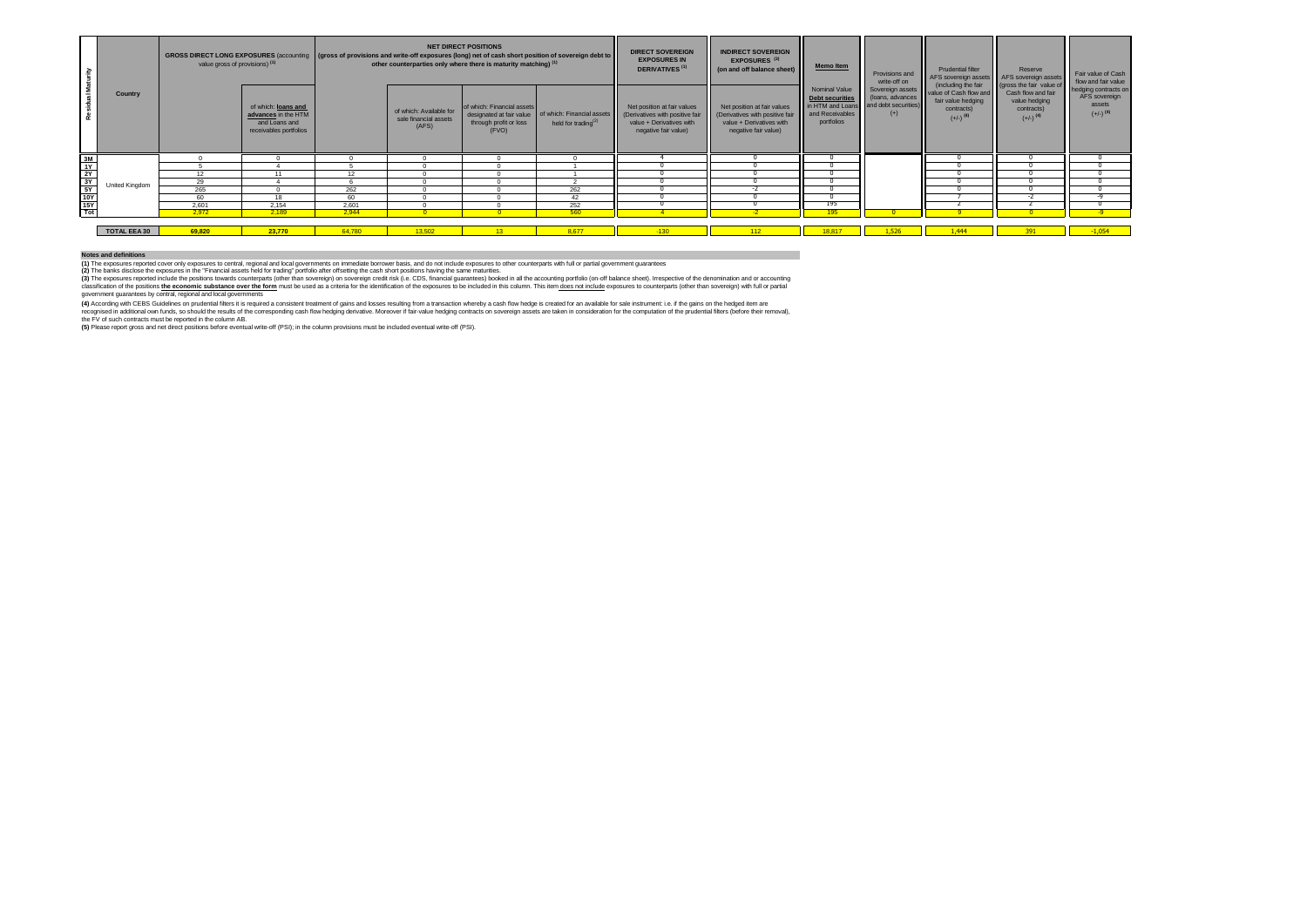| <b>Maturity</b>                                                                                  |                     | GROSS DIRECT LONG EXPOSURES (accounting   (gross of provisions and write-off exposures (long) net of cash short position of sovereign debt to<br>value gross of provisions) <sup>(1)</sup> |                                                                                       |        |                                                           | <b>NET DIRECT POSITIONS</b><br>other counterparties only where there is maturity matching) <sup>(1)</sup> |                                                               | <b>DIRECT SOVEREIGN</b><br><b>EXPOSURES IN</b><br><b>DERIVATIVES</b> <sup>(1)</sup>                                | <b>INDIRECT SOVEREIGN</b><br>EXPOSURES <sup>(3)</sup><br>(on and off balance sheet)                                | <b>Memo Item</b>                                                                                           | Provisions and<br>write-off on | <b>Prudential filter</b><br>AFS sovereign assets AFS sovereign assets                                                        | Reserve                                                                                                 | Fair value of Cash<br>flow and fair value                                        |
|--------------------------------------------------------------------------------------------------|---------------------|--------------------------------------------------------------------------------------------------------------------------------------------------------------------------------------------|---------------------------------------------------------------------------------------|--------|-----------------------------------------------------------|-----------------------------------------------------------------------------------------------------------|---------------------------------------------------------------|--------------------------------------------------------------------------------------------------------------------|--------------------------------------------------------------------------------------------------------------------|------------------------------------------------------------------------------------------------------------|--------------------------------|------------------------------------------------------------------------------------------------------------------------------|---------------------------------------------------------------------------------------------------------|----------------------------------------------------------------------------------|
|                                                                                                  | Country             |                                                                                                                                                                                            | of which: loans and<br>advances in the HTM<br>and Loans and<br>receivables portfolios |        | of which: Available for<br>sale financial assets<br>(AFS) | of which: Financial assets<br>designated at fair value<br>through profit or loss<br>(FVO)                 | of which: Financial assets<br>held for trading <sup>(2)</sup> | Net position at fair values<br>(Derivatives with positive fair<br>value + Derivatives with<br>negative fair value) | Net position at fair values<br>(Derivatives with positive fair<br>value + Derivatives with<br>negative fair value) | Nominal Value<br>Debt securities<br>in HTM and Loans and debt securities)<br>and Receivables<br>portfolios | (loans, advances<br>$(+)$      | (including the fair<br>Sovereign assets value of Cash flow and<br>fair value hedging<br>contracts)<br>$(+/-)$ <sup>(4)</sup> | (gross the fair value of<br>Cash flow and fair<br>value hedging<br>contracts)<br>$(+/-)$ <sup>(4)</sup> | hedging contracts on<br>AFS sovereign<br><b>assets</b><br>$(+/-)$ <sup>(4)</sup> |
|                                                                                                  |                     |                                                                                                                                                                                            |                                                                                       |        |                                                           |                                                                                                           |                                                               |                                                                                                                    |                                                                                                                    |                                                                                                            |                                |                                                                                                                              |                                                                                                         |                                                                                  |
| $\begin{array}{r}\n 3M \\  1Y \\  2Y \\  3Y \\  5Y \\  10Y \\  15Y \\  16Y \\  16Y\n\end{array}$ |                     |                                                                                                                                                                                            |                                                                                       |        |                                                           |                                                                                                           |                                                               |                                                                                                                    |                                                                                                                    |                                                                                                            |                                |                                                                                                                              |                                                                                                         |                                                                                  |
|                                                                                                  |                     | 12                                                                                                                                                                                         | 11                                                                                    | 12     |                                                           |                                                                                                           |                                                               |                                                                                                                    |                                                                                                                    |                                                                                                            |                                |                                                                                                                              |                                                                                                         |                                                                                  |
|                                                                                                  | United Kingdom      | 29                                                                                                                                                                                         |                                                                                       |        |                                                           |                                                                                                           |                                                               |                                                                                                                    |                                                                                                                    |                                                                                                            |                                |                                                                                                                              |                                                                                                         |                                                                                  |
|                                                                                                  |                     | 265                                                                                                                                                                                        |                                                                                       | 262    |                                                           |                                                                                                           | 262                                                           |                                                                                                                    |                                                                                                                    |                                                                                                            |                                |                                                                                                                              |                                                                                                         |                                                                                  |
|                                                                                                  |                     | 60                                                                                                                                                                                         | 18                                                                                    | 60     |                                                           |                                                                                                           | 42                                                            |                                                                                                                    |                                                                                                                    |                                                                                                            |                                |                                                                                                                              |                                                                                                         |                                                                                  |
|                                                                                                  |                     | 2.601                                                                                                                                                                                      | 2.154                                                                                 | 2.601  |                                                           |                                                                                                           | 252                                                           |                                                                                                                    |                                                                                                                    | 195                                                                                                        |                                |                                                                                                                              |                                                                                                         |                                                                                  |
|                                                                                                  |                     | 2.972                                                                                                                                                                                      | 2.189                                                                                 | 2.944  | $\sqrt{2}$                                                | <b>DO</b>                                                                                                 | 560                                                           |                                                                                                                    | $\mathcal{L}$                                                                                                      | 195                                                                                                        |                                |                                                                                                                              |                                                                                                         |                                                                                  |
|                                                                                                  |                     |                                                                                                                                                                                            |                                                                                       |        |                                                           |                                                                                                           |                                                               |                                                                                                                    |                                                                                                                    |                                                                                                            |                                |                                                                                                                              |                                                                                                         |                                                                                  |
|                                                                                                  | <b>TOTAL EEA 30</b> | 69.820                                                                                                                                                                                     | 23,770                                                                                | 64,780 | 13,502                                                    | $13-13$                                                                                                   | 8.677                                                         | $-130$                                                                                                             | 112                                                                                                                | 18.817                                                                                                     | 1,526                          | 1.444                                                                                                                        | 391                                                                                                     | $-1,054$                                                                         |

## **Notes and definitions**

(1) The exposures reported cover only exposures to central, regional and local governments on immediate borrower basis, and on on include exposures to other counterparts with full or partial government guarantees<br>(2) The b

(3) The sposures reported include the positions towards counterparts (cher than sovereign) on sovereign credi risk (i.e. CDS, financial guarantees) booked in all the accounting portfolio (on-off band to the position of the

government guarantees by central, regional and local governments

(4) Accordng win CEBS Guidelnes on prudential filters lits required a consistent treatment of gains and losses resulting from a transaction whereby a cash flow hedge is created for a wailable for sale in structure in the p

the FV of such contracts must be reported in the column AB. **(5)** Please report gross and net direct positions before eventual write-off (PSI); in the column provisions must be included eventual write-off (PSI).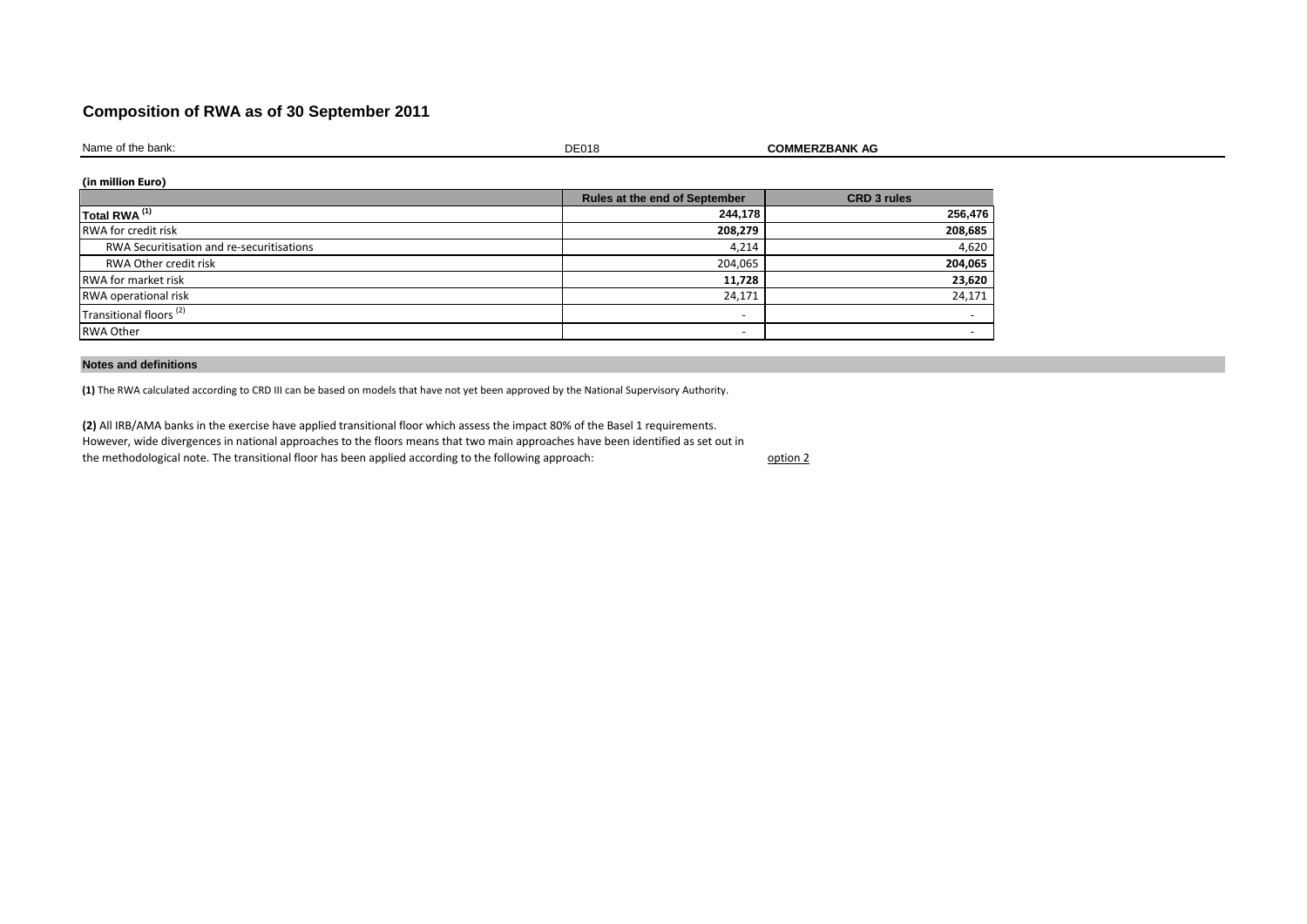## **Composition of RWA as of 30 September 2011**

Name of the bank: **Name of the bank: COMMERZBANK AG** 

**(in million Euro)**

|                                           | Rules at the end of September | <b>CRD 3 rules</b> |
|-------------------------------------------|-------------------------------|--------------------|
| Total RWA <sup>(1)</sup>                  | 244,178                       | 256,476            |
| <b>RWA</b> for credit risk                | 208,279                       | 208,685            |
| RWA Securitisation and re-securitisations | 4,214                         | 4,620              |
| RWA Other credit risk                     | 204,065                       | 204,065            |
| <b>RWA</b> for market risk                | 11,728                        | 23,620             |
| RWA operational risk                      | 24,171                        | 24,171             |
| Transitional floors <sup>(2)</sup>        | -                             |                    |
| <b>RWA Other</b>                          | $\overline{\phantom{0}}$      |                    |

## **Notes and definitions**

**(1)** The RWA calculated according to CRD III can be based on models that have not yet been approved by the National Supervisory Authority.

**(2)** All IRB/AMA banks in the exercise have applied transitional floor which assess the impact 80% of the Basel 1 requirements. However, wide divergences in national approaches to the floors means that two main approaches have been identified as set out in the methodological note. The transitional floor has been applied according to the following approach:

option 2